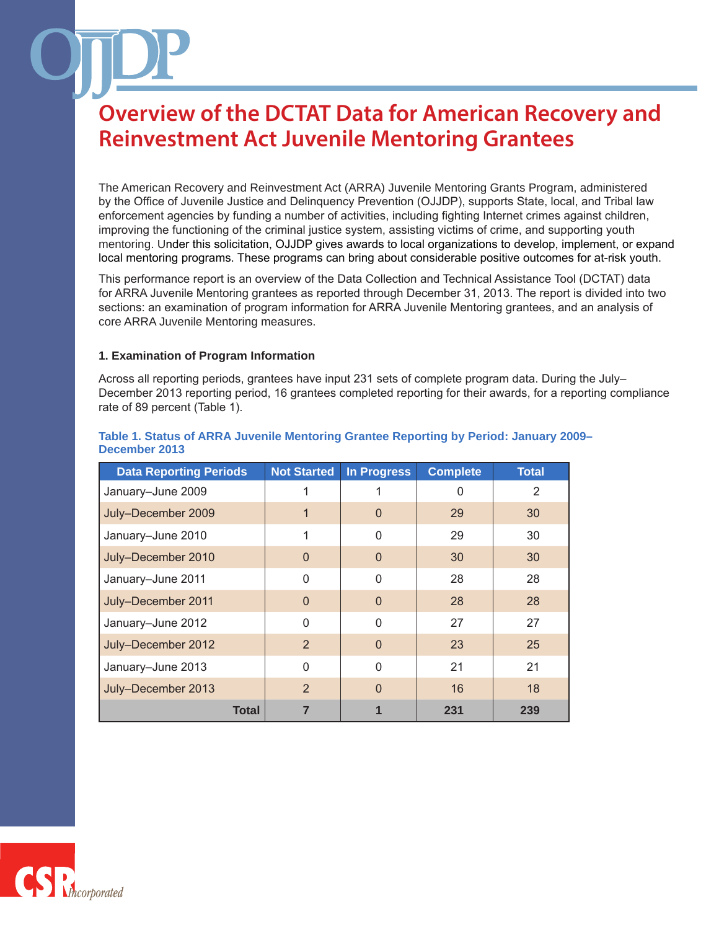The American Recovery and Reinvestment Act (ARRA) Juvenile Mentoring Grants Program, administered by the Office of Juvenile Justice and Delinquency Prevention (OJJDP), supports State, local, and Tribal law enforcement agencies by funding a number of activities, including fighting Internet crimes against children, improving the functioning of the criminal justice system, assisting victims of crime, and supporting youth mentoring. Under this solicitation, OJJDP gives awards to local organizations to develop, implement, or expand local mentoring programs. These programs can bring about considerable positive outcomes for at-risk youth.

This performance report is an overview of the Data Collection and Technical Assistance Tool (DCTAT) data for ARRA Juvenile Mentoring grantees as reported through December 31, 2013. The report is divided into two sections: an examination of program information for ARRA Juvenile Mentoring grantees, and an analysis of core ARRA Juvenile Mentoring measures.

#### **1. Examination of Program Information**

Across all reporting periods, grantees have input 231 sets of complete program data. During the July– December 2013 reporting period, 16 grantees completed reporting for their awards, for a reporting compliance rate of 89 percent (Table 1).

| <b>Data Reporting Periods</b> | <b>Not Started</b> | <b>In Progress</b> | <b>Complete</b> | <b>Total</b> |
|-------------------------------|--------------------|--------------------|-----------------|--------------|
| January-June 2009             |                    |                    | 0               | 2            |
| July-December 2009            | 1                  | $\Omega$           | 29              | 30           |
| January-June 2010             |                    | 0                  | 29              | 30           |
| July-December 2010            | $\Omega$           | 0                  | 30              | 30           |
| January-June 2011             | $\Omega$           | $\Omega$           | 28              | 28           |
| July-December 2011            | $\Omega$           | $\overline{0}$     | 28              | 28           |
| January-June 2012             | $\Omega$           | $\Omega$           | 27              | 27           |
| July-December 2012            | 2                  | $\Omega$           | 23              | 25           |
| January-June 2013             | $\Omega$           | $\Omega$           | 21              | 21           |
| July-December 2013            | 2                  | $\Omega$           | 16              | 18           |
| Total                         |                    |                    | 231             | 239          |

#### **Table 1. Status of ARRA Juvenile Mentoring Grantee Reporting by Period: January 2009– December 2013**

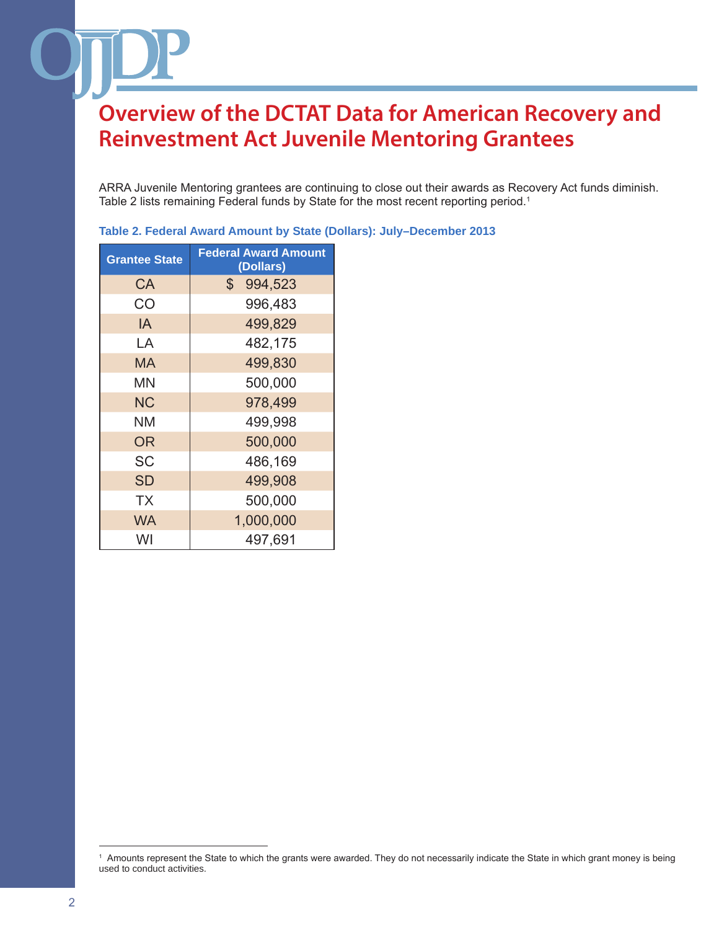ARRA Juvenile Mentoring grantees are continuing to close out their awards as Recovery Act funds diminish. Table 2 lists remaining Federal funds by State for the most recent reporting period.<sup>1</sup>

| <b>Grantee State</b> | <b>Federal Award Amount</b><br>(Dollars) |
|----------------------|------------------------------------------|
| СA                   | \$<br>994,523                            |
| CO                   | 996,483                                  |
| IA                   | 499,829                                  |
| LA                   | 482,175                                  |
| <b>MA</b>            | 499,830                                  |
| ΜN                   | 500,000                                  |
| <b>NC</b>            | 978,499                                  |
| ΝM                   | 499,998                                  |
| <b>OR</b>            | 500,000                                  |
| <b>SC</b>            | 486,169                                  |
| <b>SD</b>            | 499,908                                  |
| <b>TX</b>            | 500,000                                  |
| <b>WA</b>            | 1,000,000                                |
| WI                   | 497,691                                  |

**Table 2. Federal Award Amount by State (Dollars): July–December 2013**

<sup>1</sup> Amounts represent the State to which the grants were awarded. They do not necessarily indicate the State in which grant money is being used to conduct activities.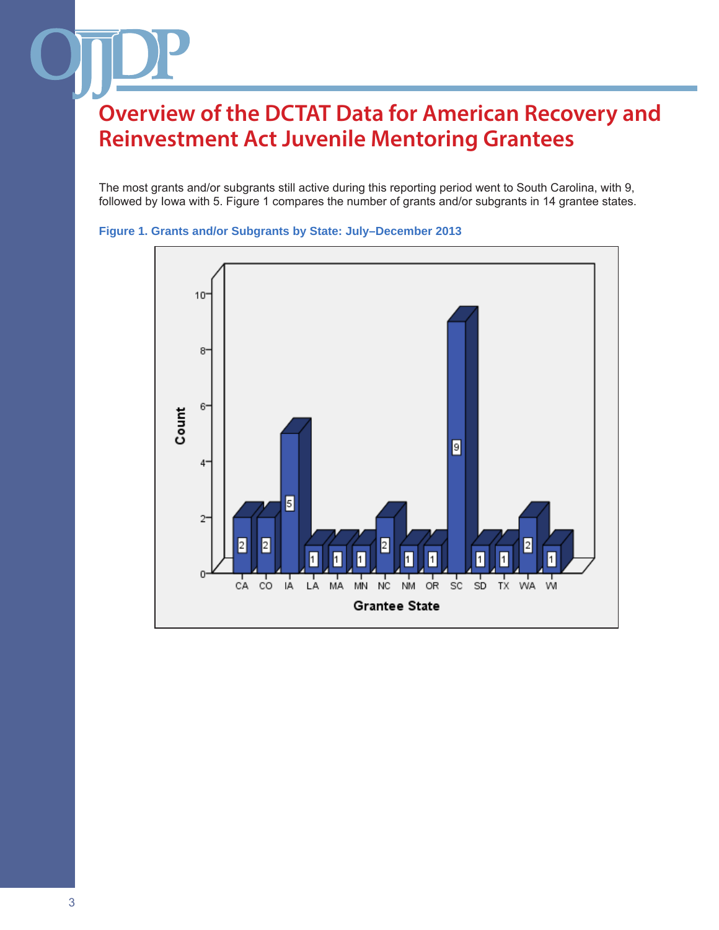The most grants and/or subgrants still active during this reporting period went to South Carolina, with 9, followed by Iowa with 5. Figure 1 compares the number of grants and/or subgrants in 14 grantee states.



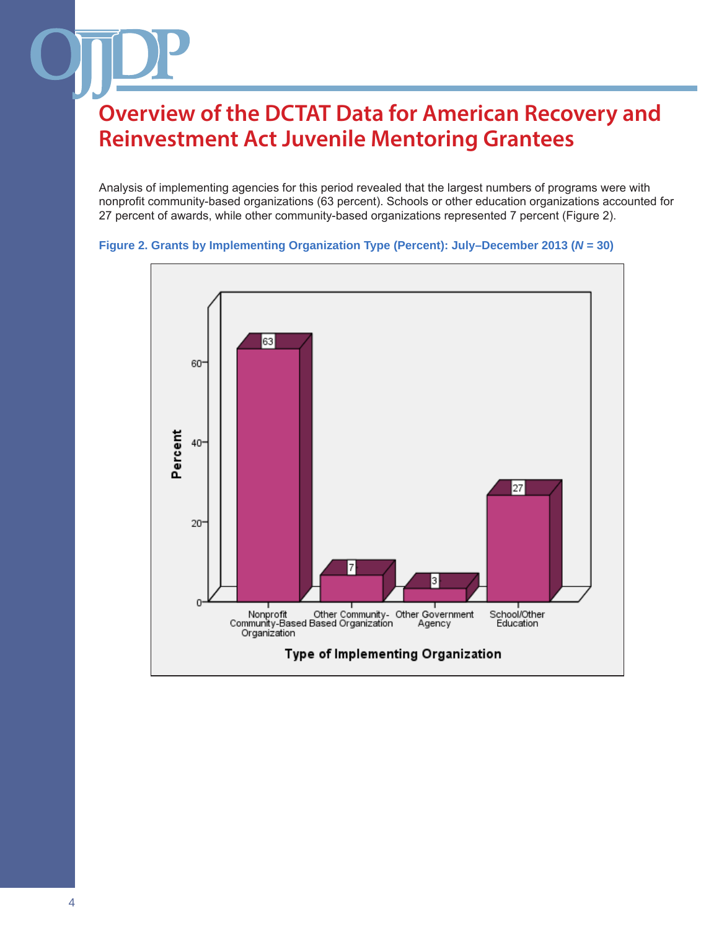Analysis of implementing agencies for this period revealed that the largest numbers of programs were with nonprofit community-based organizations (63 percent). Schools or other education organizations accounted for 27 percent of awards, while other community-based organizations represented 7 percent (Figure 2).



#### **Figure 2. Grants by Implementing Organization Type (Percent): July–December 2013 (***N* **= 30)**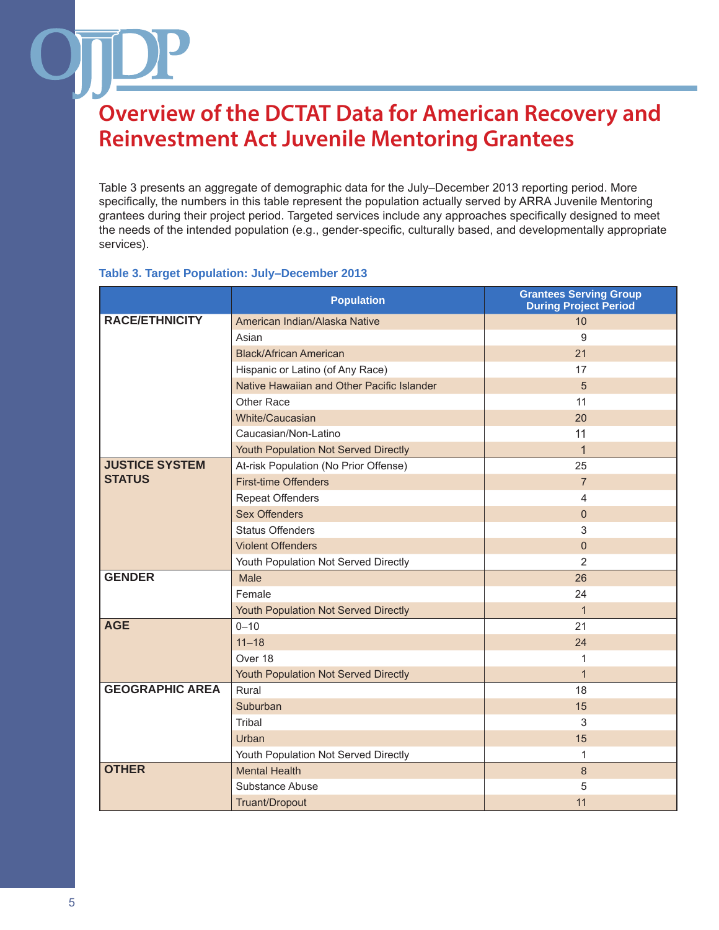Table 3 presents an aggregate of demographic data for the July–December 2013 reporting period. More specifically, the numbers in this table represent the population actually served by ARRA Juvenile Mentoring grantees during their project period. Targeted services include any approaches specifically designed to meet the needs of the intended population (e.g., gender-specific, culturally based, and developmentally appropriate services).

#### **Table 3. Target Population: July–December 2013**

|                        | <b>Population</b>                          | <b>Grantees Serving Group</b><br><b>During Project Period</b> |
|------------------------|--------------------------------------------|---------------------------------------------------------------|
| <b>RACE/ETHNICITY</b>  | American Indian/Alaska Native              | 10                                                            |
|                        | Asian                                      | 9                                                             |
|                        | <b>Black/African American</b>              | 21                                                            |
|                        | Hispanic or Latino (of Any Race)           | 17                                                            |
|                        | Native Hawaiian and Other Pacific Islander | 5                                                             |
|                        | Other Race                                 | 11                                                            |
|                        | White/Caucasian                            | 20                                                            |
|                        | Caucasian/Non-Latino                       | 11                                                            |
|                        | Youth Population Not Served Directly       | $\mathbf 1$                                                   |
| <b>JUSTICE SYSTEM</b>  | At-risk Population (No Prior Offense)      | 25                                                            |
| <b>STATUS</b>          | <b>First-time Offenders</b>                | $\overline{7}$                                                |
|                        | <b>Repeat Offenders</b>                    | 4                                                             |
|                        | <b>Sex Offenders</b>                       | $\mathbf{0}$                                                  |
|                        | <b>Status Offenders</b>                    | 3                                                             |
|                        | <b>Violent Offenders</b>                   | $\Omega$                                                      |
|                        | Youth Population Not Served Directly       | 2                                                             |
| <b>GENDER</b>          | Male                                       | 26                                                            |
|                        | Female                                     | 24                                                            |
|                        | Youth Population Not Served Directly       | $\mathbf{1}$                                                  |
| <b>AGE</b>             | $0 - 10$                                   | 21                                                            |
|                        | $11 - 18$                                  | 24                                                            |
|                        | Over 18                                    | $\mathbf{1}$                                                  |
|                        | Youth Population Not Served Directly       | $\mathbf{1}$                                                  |
| <b>GEOGRAPHIC AREA</b> | Rural                                      | 18                                                            |
|                        | Suburban                                   | 15                                                            |
|                        | Tribal                                     | 3                                                             |
|                        | Urban                                      | 15                                                            |
|                        | Youth Population Not Served Directly       | 1                                                             |
| <b>OTHER</b>           | <b>Mental Health</b>                       | 8                                                             |
|                        | Substance Abuse                            | 5                                                             |
|                        | Truant/Dropout                             | 11                                                            |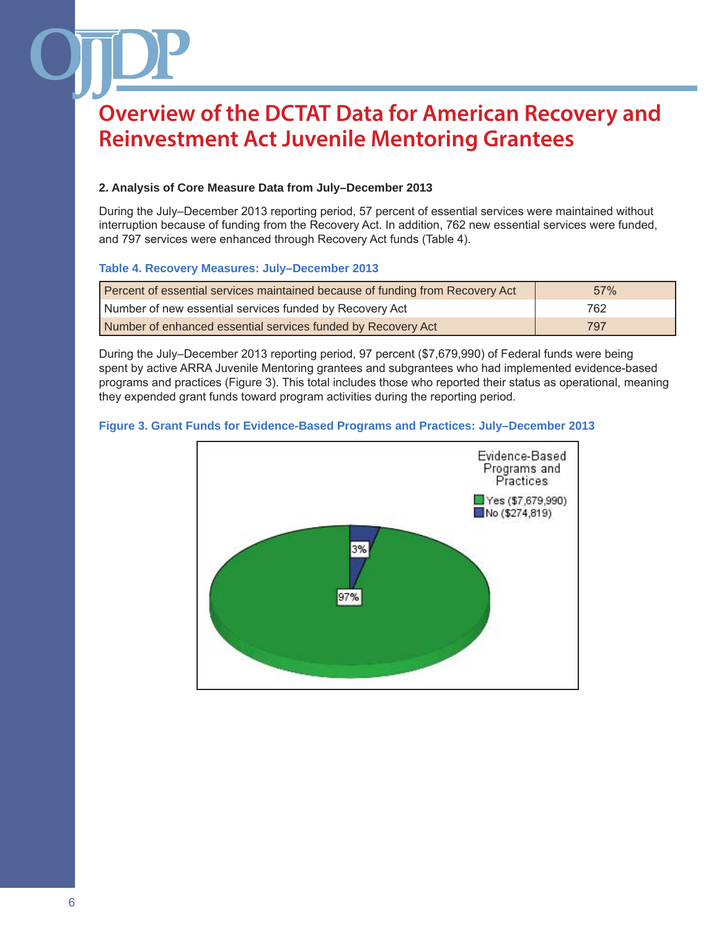### **2. Analysis of Core Measure Data from July–December 2013**

During the July–December 2013 reporting period, 57 percent of essential services were maintained without interruption because of funding from the Recovery Act. In addition, 762 new essential services were funded, and 797 services were enhanced through Recovery Act funds (Table 4).

#### **Table 4. Recovery Measures: July–December 2013**

| Percent of essential services maintained because of funding from Recovery Act | 57% |
|-------------------------------------------------------------------------------|-----|
| Number of new essential services funded by Recovery Act                       | 762 |
| Number of enhanced essential services funded by Recovery Act                  | 797 |

During the July–December 2013 reporting period, 97 percent (\$7,679,990) of Federal funds were being spent by active ARRA Juvenile Mentoring grantees and subgrantees who had implemented evidence-based programs and practices (Figure 3). This total includes those who reported their status as operational, meaning they expended grant funds toward program activities during the reporting period.

#### **Figure 3. Grant Funds for Evidence-Based Programs and Practices: July–December 2013**

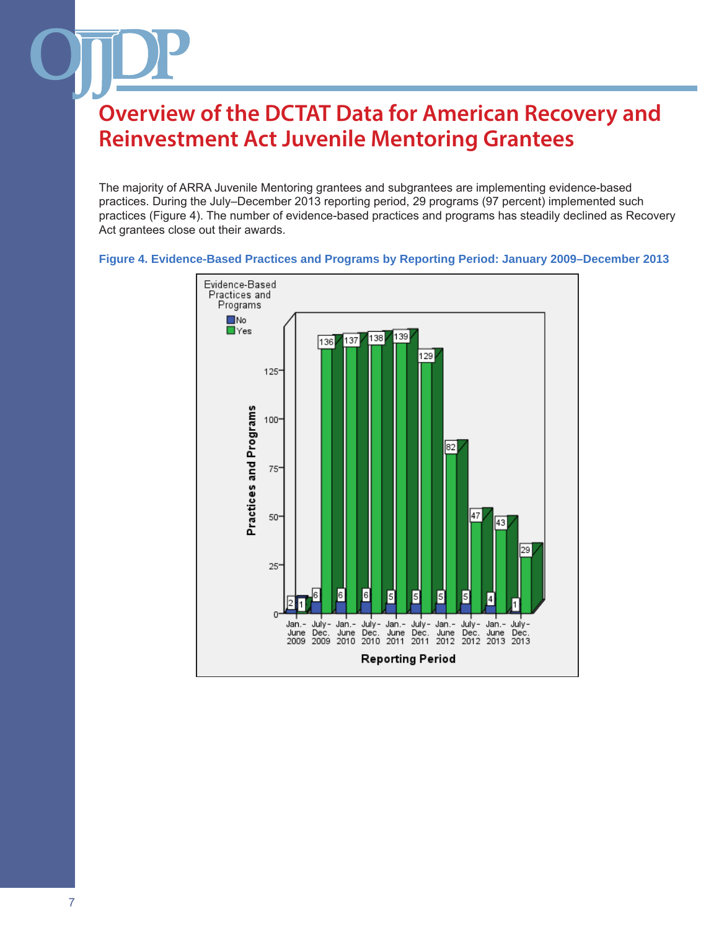The majority of ARRA Juvenile Mentoring grantees and subgrantees are implementing evidence-based practices. During the July–December 2013 reporting period, 29 programs (97 percent) implemented such practices (Figure 4). The number of evidence-based practices and programs has steadily declined as Recovery Act grantees close out their awards.



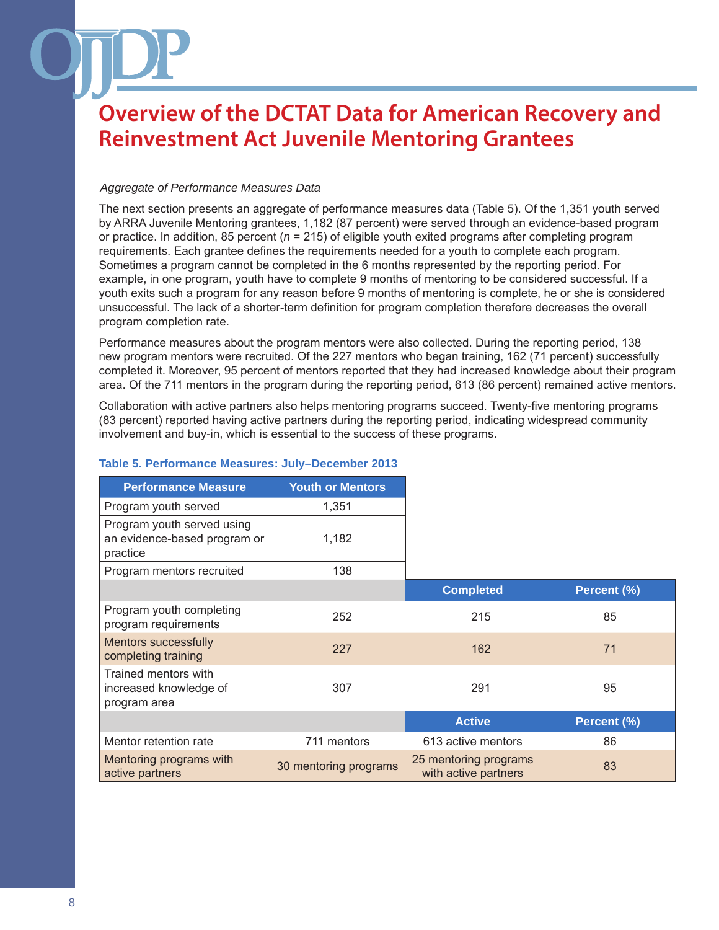#### *Aggregate of Performance Measures Data*

The next section presents an aggregate of performance measures data (Table 5). Of the 1,351 youth served by ARRA Juvenile Mentoring grantees, 1,182 (87 percent) were served through an evidence-based program or practice. In addition, 85 percent (*n* = 215) of eligible youth exited programs after completing program requirements. Each grantee defines the requirements needed for a youth to complete each program. Sometimes a program cannot be completed in the 6 months represented by the reporting period. For example, in one program, youth have to complete 9 months of mentoring to be considered successful. If a youth exits such a program for any reason before 9 months of mentoring is complete, he or she is considered unsuccessful. The lack of a shorter-term definition for program completion therefore decreases the overall program completion rate.

Performance measures about the program mentors were also collected. During the reporting period, 138 new program mentors were recruited. Of the 227 mentors who began training, 162 (71 percent) successfully completed it. Moreover, 95 percent of mentors reported that they had increased knowledge about their program area. Of the 711 mentors in the program during the reporting period, 613 (86 percent) remained active mentors.

Collaboration with active partners also helps mentoring programs succeed. Twenty-five mentoring programs (83 percent) reported having active partners during the reporting period, indicating widespread community involvement and buy-in, which is essential to the success of these programs.

| <b>Performance Measure</b>                                             | <b>Youth or Mentors</b> |                                               |             |
|------------------------------------------------------------------------|-------------------------|-----------------------------------------------|-------------|
| Program youth served                                                   | 1,351                   |                                               |             |
| Program youth served using<br>an evidence-based program or<br>practice | 1,182                   |                                               |             |
| Program mentors recruited                                              | 138                     |                                               |             |
|                                                                        |                         | <b>Completed</b>                              | Percent (%) |
| Program youth completing<br>program requirements                       | 252                     | 215                                           | 85          |
| <b>Mentors successfully</b><br>completing training                     | 227                     | 162                                           | 71          |
| Trained mentors with<br>increased knowledge of<br>program area         | 307                     | 291                                           | 95          |
|                                                                        |                         | <b>Active</b>                                 | Percent (%) |
| Mentor retention rate                                                  | 711 mentors             | 613 active mentors                            | 86          |
| Mentoring programs with<br>active partners                             | 30 mentoring programs   | 25 mentoring programs<br>with active partners | 83          |

### **Table 5. Performance Measures: July–December 2013**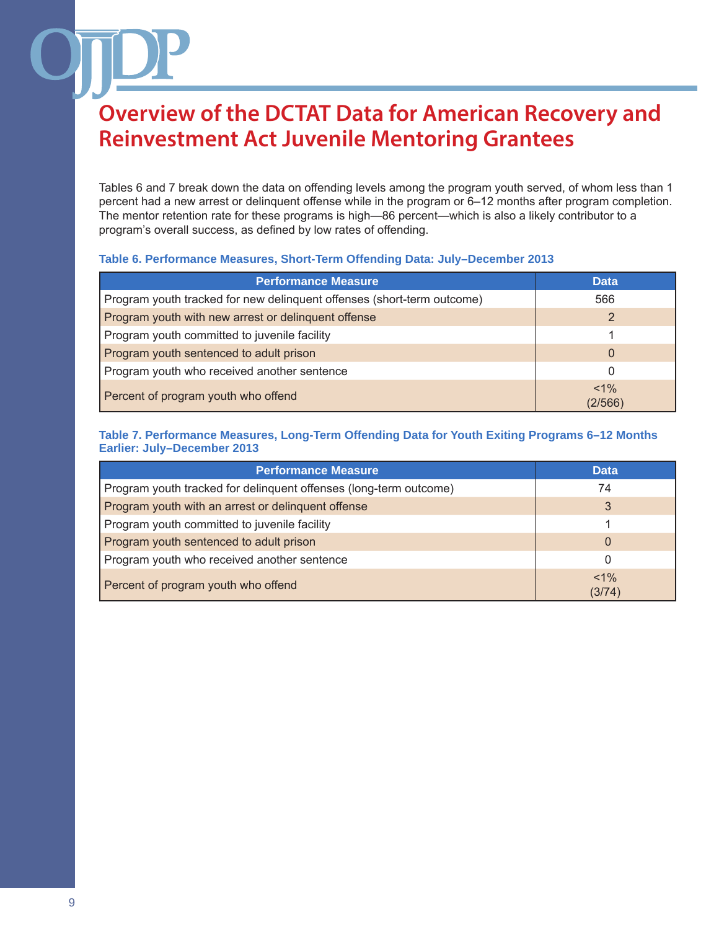Tables 6 and 7 break down the data on offending levels among the program youth served, of whom less than 1 percent had a new arrest or delinquent offense while in the program or 6–12 months after program completion. The mentor retention rate for these programs is high—86 percent—which is also a likely contributor to a program's overall success, as defined by low rates of offending.

#### **Table 6. Performance Measures, Short-Term Offending Data: July–December 2013**

| <b>Performance Measure</b>                                             | <b>Data</b>        |
|------------------------------------------------------------------------|--------------------|
| Program youth tracked for new delinquent offenses (short-term outcome) | 566                |
| Program youth with new arrest or delinguent offense                    | 2                  |
| Program youth committed to juvenile facility                           |                    |
| Program youth sentenced to adult prison                                | $\Omega$           |
| Program youth who received another sentence                            | 0                  |
| Percent of program youth who offend                                    | $< 1\%$<br>(2/566) |

#### **Table 7. Performance Measures, Long-Term Offending Data for Youth Exiting Programs 6–12 Months Earlier: July–December 2013**

| <b>Performance Measure</b>                                        | <b>Data</b>       |
|-------------------------------------------------------------------|-------------------|
| Program youth tracked for delinquent offenses (long-term outcome) | 74                |
| Program youth with an arrest or delinguent offense                | 3                 |
| Program youth committed to juvenile facility                      |                   |
| Program youth sentenced to adult prison                           | 0                 |
| Program youth who received another sentence                       | 0                 |
| Percent of program youth who offend                               | $< 1\%$<br>(3/74) |